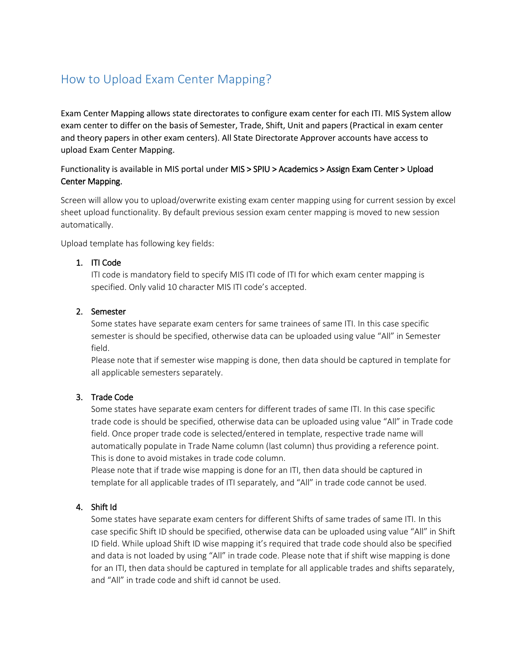# How to Upload Exam Center Mapping?

Exam Center Mapping allows state directorates to configure exam center for each ITI. MIS System allow exam center to differ on the basis of Semester, Trade, Shift, Unit and papers (Practical in exam center and theory papers in other exam centers). All State Directorate Approver accounts have access to upload Exam Center Mapping.

## Functionality is available in MIS portal under MIS > SPIU > Academics > Assign Exam Center > Upload Center Mapping.

Screen will allow you to upload/overwrite existing exam center mapping using for current session by excel sheet upload functionality. By default previous session exam center mapping is moved to new session automatically.

Upload template has following key fields:

#### 1. ITI Code

ITI code is mandatory field to specify MIS ITI code of ITI for which exam center mapping is specified. Only valid 10 character MIS ITI code's accepted.

## 2. Semester

Some states have separate exam centers for same trainees of same ITI. In this case specific semester is should be specified, otherwise data can be uploaded using value "All" in Semester field.

Please note that if semester wise mapping is done, then data should be captured in template for all applicable semesters separately.

#### 3. Trade Code

Some states have separate exam centers for different trades of same ITI. In this case specific trade code is should be specified, otherwise data can be uploaded using value "All" in Trade code field. Once proper trade code is selected/entered in template, respective trade name will automatically populate in Trade Name column (last column) thus providing a reference point. This is done to avoid mistakes in trade code column.

Please note that if trade wise mapping is done for an ITI, then data should be captured in template for all applicable trades of ITI separately, and "All" in trade code cannot be used.

## 4. Shift Id

Some states have separate exam centers for different Shifts of same trades of same ITI. In this case specific Shift ID should be specified, otherwise data can be uploaded using value "All" in Shift ID field. While upload Shift ID wise mapping it's required that trade code should also be specified and data is not loaded by using "All" in trade code. Please note that if shift wise mapping is done for an ITI, then data should be captured in template for all applicable trades and shifts separately, and "All" in trade code and shift id cannot be used.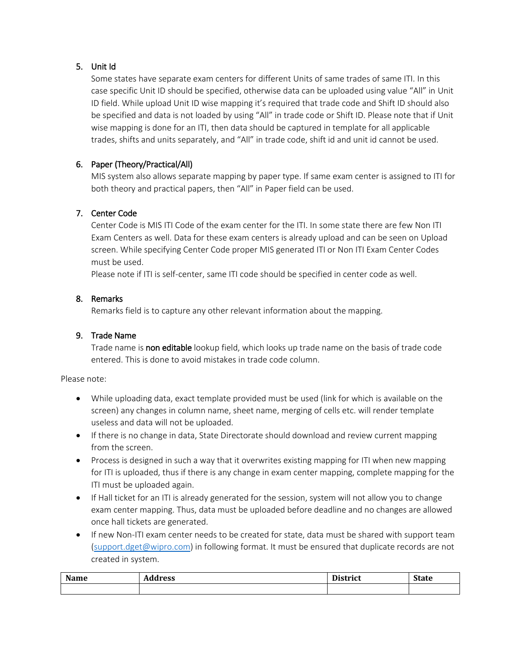## 5. Unit Id

Some states have separate exam centers for different Units of same trades of same ITI. In this case specific Unit ID should be specified, otherwise data can be uploaded using value "All" in Unit ID field. While upload Unit ID wise mapping it's required that trade code and Shift ID should also be specified and data is not loaded by using "All" in trade code or Shift ID. Please note that if Unit wise mapping is done for an ITI, then data should be captured in template for all applicable trades, shifts and units separately, and "All" in trade code, shift id and unit id cannot be used.

## 6. Paper (Theory/Practical/All)

MIS system also allows separate mapping by paper type. If same exam center is assigned to ITI for both theory and practical papers, then "All" in Paper field can be used.

#### 7. Center Code

Center Code is MIS ITI Code of the exam center for the ITI. In some state there are few Non ITI Exam Centers as well. Data for these exam centers is already upload and can be seen on Upload screen. While specifying Center Code proper MIS generated ITI or Non ITI Exam Center Codes must be used.

Please note if ITI is self-center, same ITI code should be specified in center code as well.

#### 8. Remarks

Remarks field is to capture any other relevant information about the mapping.

#### 9. Trade Name

Trade name is non editable lookup field, which looks up trade name on the basis of trade code entered. This is done to avoid mistakes in trade code column.

Please note:

- While uploading data, exact template provided must be used (link for which is available on the screen) any changes in column name, sheet name, merging of cells etc. will render template useless and data will not be uploaded.
- If there is no change in data, State Directorate should download and review current mapping from the screen.
- Process is designed in such a way that it overwrites existing mapping for ITI when new mapping for ITI is uploaded, thus if there is any change in exam center mapping, complete mapping for the ITI must be uploaded again.
- If Hall ticket for an ITI is already generated for the session, system will not allow you to change exam center mapping. Thus, data must be uploaded before deadline and no changes are allowed once hall tickets are generated.
- If new Non-ITI exam center needs to be created for state, data must be shared with support team [\(support.dget@wipro.com\)](mailto:support.dget@wipro.com) in following format. It must be ensured that duplicate records are not created in system.

| Name | . .<br>dress | <b>District</b> | <b>State</b> |
|------|--------------|-----------------|--------------|
|      |              |                 |              |